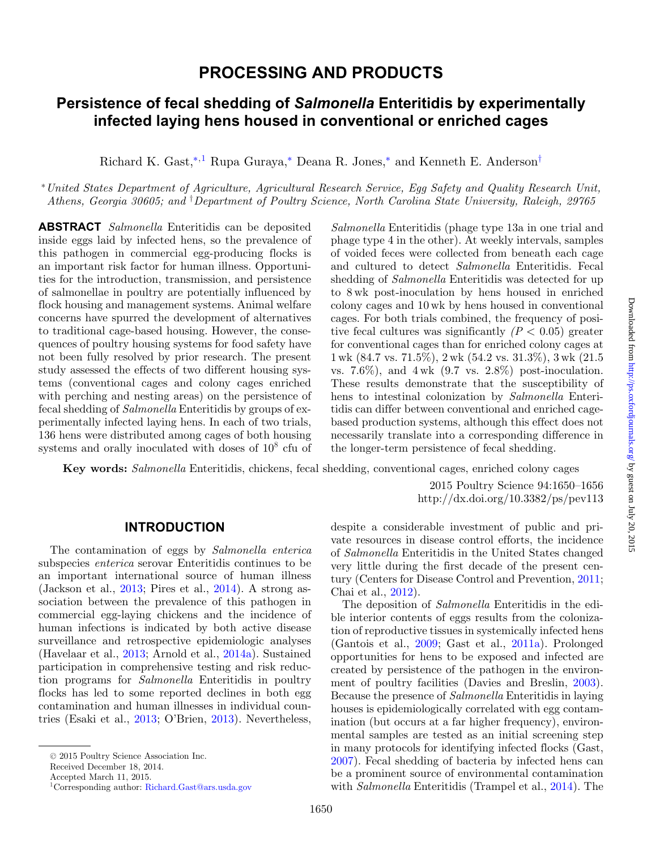# **PROCESSING AND PRODUCTS**

# **Persistence of fecal shedding of** *Salmonella* **Enteritidis by experimentally infected laying hens housed in conventional or enriched cages**

<span id="page-0-2"></span>Richard K. Gast,[∗](#page-0-0)[,1](#page-0-1) Rupa Guraya,[∗](#page-0-0) Deana R. Jones,[∗](#page-0-0) and Kenneth E. Anderson[†](#page-0-2)

<span id="page-0-0"></span><sup>∗</sup>*United States Department of Agriculture, Agricultural Research Service, Egg Safety and Quality Research Unit, Athens, Georgia 30605; and* † *Department of Poultry Science, North Carolina State University, Raleigh, 29765*

**ABSTRACT** *Salmonella* Enteritidis can be deposited inside eggs laid by infected hens, so the prevalence of this pathogen in commercial egg-producing flocks is an important risk factor for human illness. Opportunities for the introduction, transmission, and persistence of salmonellae in poultry are potentially influenced by flock housing and management systems. Animal welfare concerns have spurred the development of alternatives to traditional cage-based housing. However, the consequences of poultry housing systems for food safety have not been fully resolved by prior research. The present study assessed the effects of two different housing systems (conventional cages and colony cages enriched with perching and nesting areas) on the persistence of fecal shedding of *Salmonella* Enteritidis by groups of experimentally infected laying hens. In each of two trials, 136 hens were distributed among cages of both housing systems and orally inoculated with doses of  $10^8$  cfu of

*Salmonella* Enteritidis (phage type 13a in one trial and phage type 4 in the other). At weekly intervals, samples of voided feces were collected from beneath each cage and cultured to detect *Salmonella* Enteritidis. Fecal shedding of *Salmonella* Enteritidis was detected for up to 8 wk post-inoculation by hens housed in enriched colony cages and 10 wk by hens housed in conventional cages. For both trials combined, the frequency of positive fecal cultures was significantly  $(P < 0.05)$  greater for conventional cages than for enriched colony cages at 1 wk (84.7 vs. 71.5%), 2 wk (54.2 vs. 31.3%), 3 wk (21.5 vs. 7.6%), and 4 wk (9.7 vs. 2.8%) post-inoculation. These results demonstrate that the susceptibility of hens to intestinal colonization by *Salmonella* Enteritidis can differ between conventional and enriched cagebased production systems, although this effect does not necessarily translate into a corresponding difference in the longer-term persistence of fecal shedding.

**Key words:** *Salmonella* Enteritidis, chickens, fecal shedding, conventional cages, enriched colony cages

2015 Poultry Science 94:1650–1656 http://dx.doi.org/10.3382/ps/pev113

### **INTRODUCTION**

The contamination of eggs by *Salmonella enterica* subspecies *enterica* serovar Enteritidis continues to be an important international source of human illness (Jackson et al., [2013;](#page-5-0) Pires et al., [2014\)](#page-5-1). A strong association between the prevalence of this pathogen in commercial egg-laying chickens and the incidence of human infections is indicated by both active disease surveillance and retrospective epidemiologic analyses (Havelaar et al., [2013;](#page-5-2) Arnold et al., [2014a\)](#page-4-0). Sustained participation in comprehensive testing and risk reduction programs for *Salmonella* Enteritidis in poultry flocks has led to some reported declines in both egg contamination and human illnesses in individual countries (Esaki et al., [2013;](#page-4-1) O'Brien, [2013\)](#page-5-3). Nevertheless,

Received December 18, 2014.

despite a considerable investment of public and private resources in disease control efforts, the incidence of *Salmonella* Enteritidis in the United States changed very little during the first decade of the present century (Centers for Disease Control and Prevention, [2011;](#page-4-2) Chai et al., [2012\)](#page-4-3).

The deposition of *Salmonella* Enteritidis in the edible interior contents of eggs results from the colonization of reproductive tissues in systemically infected hens (Gantois et al., [2009;](#page-5-4) Gast et al., [2011a\)](#page-5-5). Prolonged opportunities for hens to be exposed and infected are created by persistence of the pathogen in the environment of poultry facilities (Davies and Breslin, [2003\)](#page-4-4). Because the presence of *Salmonella* Enteritidis in laying houses is epidemiologically correlated with egg contamination (but occurs at a far higher frequency), environmental samples are tested as an initial screening step in many protocols for identifying infected flocks (Gast, [2007\)](#page-5-6). Fecal shedding of bacteria by infected hens can be a prominent source of environmental contamination with *Salmonella* Enteritidis (Trampel et al., [2014\)](#page-6-0). The

<sup>© 2015</sup> Poultry Science Association Inc.

<span id="page-0-1"></span>Accepted March 11, 2015.

<sup>1</sup>Corresponding author: [Richard.Gast@ars.usda.gov](mailto:Richard.Gast@ars.usda.gov)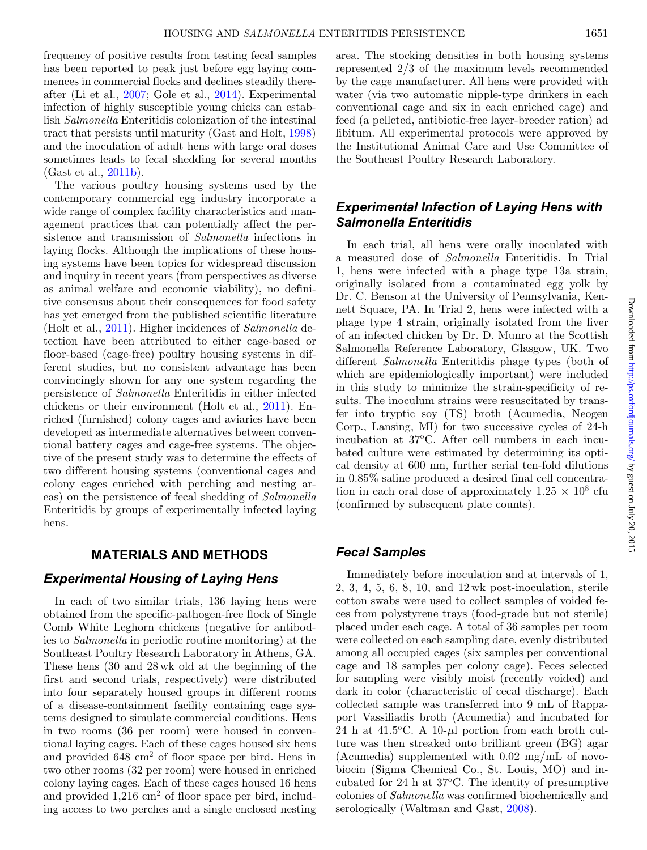frequency of positive results from testing fecal samples has been reported to peak just before egg laying commences in commercial flocks and declines steadily thereafter (Li et al., [2007;](#page-5-7) Gole et al., [2014\)](#page-5-8). Experimental infection of highly susceptible young chicks can establish *Salmonella* Enteritidis colonization of the intestinal tract that persists until maturity (Gast and Holt, [1998\)](#page-5-9) and the inoculation of adult hens with large oral doses sometimes leads to fecal shedding for several months (Gast et al., [2011b\)](#page-5-10).

The various poultry housing systems used by the contemporary commercial egg industry incorporate a wide range of complex facility characteristics and management practices that can potentially affect the persistence and transmission of *Salmonella* infections in laying flocks. Although the implications of these housing systems have been topics for widespread discussion and inquiry in recent years (from perspectives as diverse as animal welfare and economic viability), no definitive consensus about their consequences for food safety has yet emerged from the published scientific literature (Holt et al., [2011\)](#page-5-11). Higher incidences of *Salmonella* detection have been attributed to either cage-based or floor-based (cage-free) poultry housing systems in different studies, but no consistent advantage has been convincingly shown for any one system regarding the persistence of *Salmonella* Enteritidis in either infected chickens or their environment (Holt et al., [2011\)](#page-5-11). Enriched (furnished) colony cages and aviaries have been developed as intermediate alternatives between conventional battery cages and cage-free systems. The objective of the present study was to determine the effects of two different housing systems (conventional cages and colony cages enriched with perching and nesting areas) on the persistence of fecal shedding of *Salmonella* Enteritidis by groups of experimentally infected laying hens.

#### **MATERIALS AND METHODS**

## *Experimental Housing of Laying Hens*

In each of two similar trials, 136 laying hens were obtained from the specific-pathogen-free flock of Single Comb White Leghorn chickens (negative for antibodies to *Salmonella* in periodic routine monitoring) at the Southeast Poultry Research Laboratory in Athens, GA. These hens (30 and 28 wk old at the beginning of the first and second trials, respectively) were distributed into four separately housed groups in different rooms of a disease-containment facility containing cage systems designed to simulate commercial conditions. Hens in two rooms (36 per room) were housed in conventional laying cages. Each of these cages housed six hens and provided 648 cm2 of floor space per bird. Hens in two other rooms (32 per room) were housed in enriched colony laying cages. Each of these cages housed 16 hens and provided  $1.216 \text{ cm}^2$  of floor space per bird, including access to two perches and a single enclosed nesting area. The stocking densities in both housing systems represented 2/3 of the maximum levels recommended by the cage manufacturer. All hens were provided with water (via two automatic nipple-type drinkers in each conventional cage and six in each enriched cage) and feed (a pelleted, antibiotic-free layer-breeder ration) ad libitum. All experimental protocols were approved by the Institutional Animal Care and Use Committee of the Southeast Poultry Research Laboratory.

## *Experimental Infection of Laying Hens with Salmonella Enteritidis*

In each trial, all hens were orally inoculated with a measured dose of *Salmonella* Enteritidis. In Trial 1, hens were infected with a phage type 13a strain, originally isolated from a contaminated egg yolk by Dr. C. Benson at the University of Pennsylvania, Kennett Square, PA. In Trial 2, hens were infected with a phage type 4 strain, originally isolated from the liver of an infected chicken by Dr. D. Munro at the Scottish Salmonella Reference Laboratory, Glasgow, UK. Two different *Salmonella* Enteritidis phage types (both of which are epidemiologically important) were included in this study to minimize the strain-specificity of results. The inoculum strains were resuscitated by transfer into tryptic soy (TS) broth (Acumedia, Neogen Corp., Lansing, MI) for two successive cycles of 24-h incubation at 37<sup>o</sup>C. After cell numbers in each incubated culture were estimated by determining its optical density at 600 nm, further serial ten-fold dilutions in 0.85% saline produced a desired final cell concentration in each oral dose of approximately  $1.25 \times 10^8$  cfu (confirmed by subsequent plate counts).

### *Fecal Samples*

Immediately before inoculation and at intervals of 1, 2, 3, 4, 5, 6, 8, 10, and 12 wk post-inoculation, sterile cotton swabs were used to collect samples of voided feces from polystyrene trays (food-grade but not sterile) placed under each cage. A total of 36 samples per room were collected on each sampling date, evenly distributed among all occupied cages (six samples per conventional cage and 18 samples per colony cage). Feces selected for sampling were visibly moist (recently voided) and dark in color (characteristic of cecal discharge). Each collected sample was transferred into 9 mL of Rappaport Vassiliadis broth (Acumedia) and incubated for 24 h at 41.5<sup>o</sup>C. A 10-µl portion from each broth culture was then streaked onto brilliant green (BG) agar (Acumedia) supplemented with 0.02 mg/mL of novobiocin (Sigma Chemical Co., St. Louis, MO) and incubated for 24 h at  $37^{\circ}$ C. The identity of presumptive colonies of *Salmonella* was confirmed biochemically and serologically (Waltman and Gast, [2008\)](#page-6-1).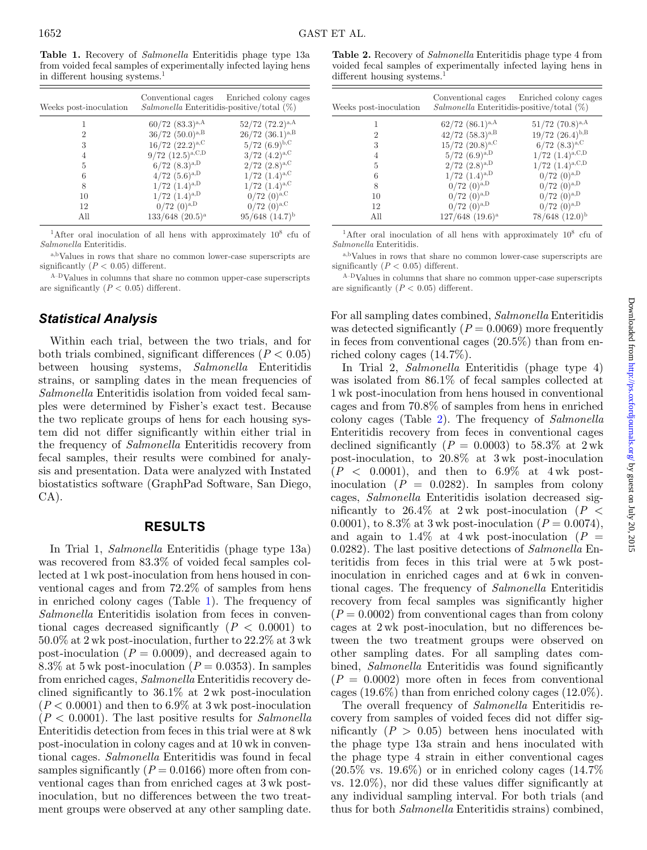<span id="page-2-0"></span>**Table 1.** Recovery of *Salmonella* Enteritidis phage type 13a from voided fecal samples of experimentally infected laying hens in different housing systems.1

| Weeks post-inoculation |                                                 | Conventional cages Enriched colony cages<br>$Salmonella$ Enteritidis-positive/total $(\%)$ |
|------------------------|-------------------------------------------------|--------------------------------------------------------------------------------------------|
|                        | $60/72$ $(83.3)^{a,A}$                          | $52/72$ $(72.2)^{a,A}$                                                                     |
| 2                      | $36/72$ $(50.0)^{a,B}$                          | $26/72$ $(36.1)^{a,B}$                                                                     |
| 3                      | $16/72$ $(22.2)^{a,C}$                          | $5/72$ $(6.9)^{b,C}$                                                                       |
| 4<br>5                 | $9/72$ $(12.5)^{a,C,D}$<br>$6/72$ $(8.3)^{a,D}$ | $3/72$ $(4.2)^{a,C}$<br>$2/72$ $(2.8)^{a,C}$                                               |
| 6                      | $4/72$ $(5.6)^{a,D}$                            | $1/72$ $(1.4)^{a,C}$                                                                       |
| 8                      | $1/72$ $(1.4)^{a,D}$                            | $1/72$ $(1.4)^{a,C}$                                                                       |
| 10                     | $1/72$ $(1.4)^{a,D}$                            | $0/72$ $(0)^{a,C}$                                                                         |
| 12                     | $0/72$ $(0)^{a,D}$                              | $0/72$ $(0)^{a,C}$                                                                         |
| All                    | $133/648$ $(20.5)^a$                            | $95/648$ $(14.7)^{b}$                                                                      |

<sup>1</sup>After oral inoculation of all hens with approximately  $10^8$  cfu of *Salmonella* Enteritidis.

a,bValues in rows that share no common lower-case superscripts are significantly  $(P < 0.05)$  different.

A–DValues in columns that share no common upper-case superscripts are significantly  $(P < 0.05)$  different.

## *Statistical Analysis*

Within each trial, between the two trials, and for both trials combined, significant differences  $(P < 0.05)$ between housing systems, *Salmonella* Enteritidis strains, or sampling dates in the mean frequencies of *Salmonella* Enteritidis isolation from voided fecal samples were determined by Fisher's exact test. Because the two replicate groups of hens for each housing system did not differ significantly within either trial in the frequency of *Salmonella* Enteritidis recovery from fecal samples, their results were combined for analysis and presentation. Data were analyzed with Instated biostatistics software (GraphPad Software, San Diego, CA).

#### **RESULTS**

In Trial 1, *Salmonella* Enteritidis (phage type 13a) was recovered from 83.3% of voided fecal samples collected at 1 wk post-inoculation from hens housed in conventional cages and from 72.2% of samples from hens in enriched colony cages (Table [1\)](#page-2-0). The frequency of *Salmonella* Enteritidis isolation from feces in conventional cages decreased significantly  $(P < 0.0001)$  to 50.0% at 2 wk post-inoculation, further to 22.2% at 3 wk post-inoculation  $(P = 0.0009)$ , and decreased again to 8.3% at 5 wk post-inoculation  $(P = 0.0353)$ . In samples from enriched cages, *Salmonella* Enteritidis recovery declined significantly to 36.1% at 2 wk post-inoculation  $(P< 0.0001)$  and then to 6.9% at 3 wk post-inoculation (*P* < 0.0001). The last positive results for *Salmonella* Enteritidis detection from feces in this trial were at 8 wk post-inoculation in colony cages and at 10 wk in conventional cages. *Salmonella* Enteritidis was found in fecal samples significantly  $(P = 0.0166)$  more often from conventional cages than from enriched cages at 3 wk postinoculation, but no differences between the two treatment groups were observed at any other sampling date.

<span id="page-2-1"></span>**Table 2.** Recovery of *Salmonella* Enteritidis phage type 4 from voided fecal samples of experimentally infected laying hens in different housing systems.<sup>1</sup>

| Weeks post-inoculation |                               | Conventional cages Enriched colony cages<br>$Salmonella$ Enteritidis-positive/total $(\%)$ |
|------------------------|-------------------------------|--------------------------------------------------------------------------------------------|
|                        | $62/72$ $(86.1)^{a,A}$        | $51/72$ $(70.8)^{a,A}$                                                                     |
| 2                      | $42/72$ (58.3) <sup>a,B</sup> | $19/72$ $(26.4)^{b,B}$                                                                     |
| 3                      | $15/72$ $(20.8)^{a,C}$        | $6/72$ $(8.3)^{a,C}$                                                                       |
| 4                      | $5/72$ $(6.9)^{a,D}$          | $1/72$ $(1.4)^{a,C,D}$                                                                     |
| 5                      | $2/72$ $(2.8)^{a,D}$          | $1/72$ $(1.4)^{a,C,D}$                                                                     |
| 6                      | $1/72$ $(1.4)^{a,D}$          | $0/72$ $(0)^{a,D}$                                                                         |
| 8                      | $0/72$ $(0)^{a,D}$            | $0/72$ (0) <sup>a,D</sup>                                                                  |
| 10                     | $0/72$ $(0)^{a,D}$            | $0/72$ $(0)^{a,D}$                                                                         |
| 12                     | $0/72$ $(0)^{a,D}$            | $0/72$ $(0)^{a,D}$                                                                         |
| All                    | $127/648$ $(19.6)^a$          | $78/648$ $(12.0)^{b}$                                                                      |

<sup>1</sup>After oral inoculation of all hens with approximately  $10^8$  cfu of *Salmonella* Enteritidis.

a,bValues in rows that share no common lower-case superscripts are significantly  $(P < 0.05)$  different.

A–DValues in columns that share no common upper-case superscripts are significantly  $(P < 0.05)$  different.

For all sampling dates combined, *Salmonella* Enteritidis was detected significantly  $(P = 0.0069)$  more frequently in feces from conventional cages  $(20.5\%)$  than from enriched colony cages (14.7%).

In Trial 2, *Salmonella* Enteritidis (phage type 4) was isolated from 86.1% of fecal samples collected at 1 wk post-inoculation from hens housed in conventional cages and from 70.8% of samples from hens in enriched colony cages (Table [2\)](#page-2-1). The frequency of *Salmonella* Enteritidis recovery from feces in conventional cages declined significantly  $(P = 0.0003)$  to 58.3% at 2 wk post-inoculation, to 20.8% at 3 wk post-inoculation  $(P < 0.0001)$ , and then to  $6.9\%$  at 4wk postinoculation  $(P = 0.0282)$ . In samples from colony cages, *Salmonella* Enteritidis isolation decreased significantly to  $26.4\%$  at  $2 \text{ wk post-inoculation}$  ( $P \leq$ 0.0001), to 8.3% at 3 wk post-inoculation  $(P = 0.0074)$ , and again to  $1.4\%$  at 4 wk post-inoculation ( $P =$ 0.0282). The last positive detections of *Salmonella* Enteritidis from feces in this trial were at 5 wk postinoculation in enriched cages and at 6 wk in conventional cages. The frequency of *Salmonella* Enteritidis recovery from fecal samples was significantly higher  $(P = 0.0002)$  from conventional cages than from colony cages at 2 wk post-inoculation, but no differences between the two treatment groups were observed on other sampling dates. For all sampling dates combined, *Salmonella* Enteritidis was found significantly  $(P = 0.0002)$  more often in feces from conventional cages (19.6%) than from enriched colony cages (12.0%).

The overall frequency of *Salmonella* Enteritidis recovery from samples of voided feces did not differ significantly  $(P > 0.05)$  between hens inoculated with the phage type 13a strain and hens inoculated with the phage type 4 strain in either conventional cages  $(20.5\% \text{ vs. } 19.6\%)$  or in enriched colony cages  $(14.7\%)$ vs. 12.0%), nor did these values differ significantly at any individual sampling interval. For both trials (and thus for both *Salmonella* Enteritidis strains) combined,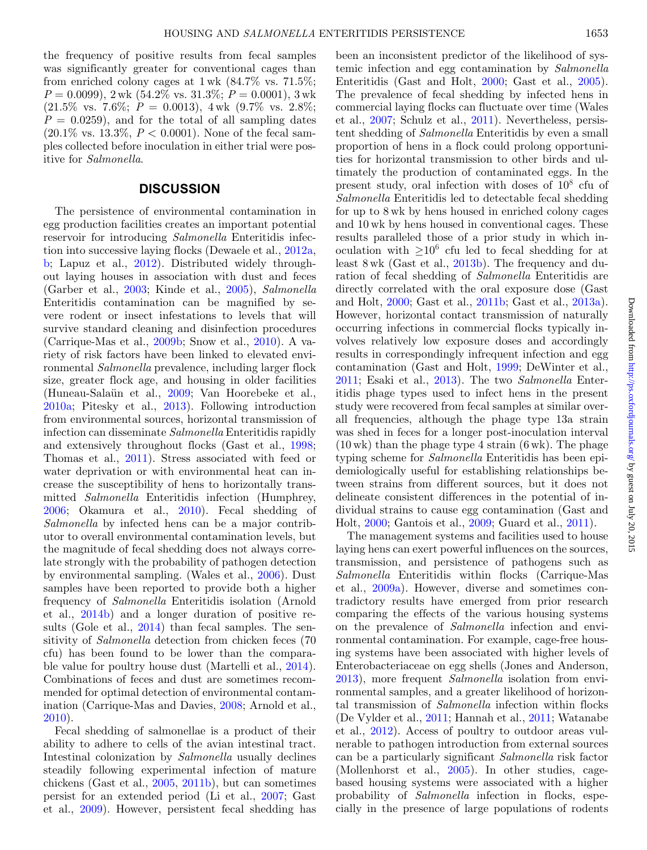the frequency of positive results from fecal samples was significantly greater for conventional cages than from enriched colony cages at  $1 \text{ wk} (84.7\% \text{ vs. } 71.5\%);$  $P = 0.0099$ , 2 wk  $(54.2\% \text{ vs. } 31.3\%; P = 0.0001)$ , 3 wk  $(21.5\% \text{ vs. } 7.6\%; P = 0.0013), 4 \text{ wk } (9.7\% \text{ vs. } 2.8\%;$  $P = 0.0259$ , and for the total of all sampling dates  $(20.1\% \text{ vs. } 13.3\%, P < 0.0001)$ . None of the fecal samples collected before inoculation in either trial were positive for *Salmonella*.

#### **DISCUSSION**

The persistence of environmental contamination in egg production facilities creates an important potential reservoir for introducing *Salmonella* Enteritidis infection into successive laying flocks (Dewaele et al., [2012a,](#page-4-5) [b;](#page-4-6) Lapuz et al., [2012\)](#page-5-12). Distributed widely throughout laying houses in association with dust and feces (Garber et al., [2003;](#page-5-13) Kinde et al., [2005\)](#page-5-14), *Salmonella* Enteritidis contamination can be magnified by severe rodent or insect infestations to levels that will survive standard cleaning and disinfection procedures (Carrique-Mas et al., [2009b;](#page-4-7) Snow et al., [2010\)](#page-6-2). A variety of risk factors have been linked to elevated environmental *Salmonella* prevalence, including larger flock size, greater flock age, and housing in older facilities (Huneau-Salaün et al., [2009;](#page-5-15) Van Hoorebeke et al., [2010a;](#page-6-3) Pitesky et al., [2013\)](#page-5-16). Following introduction from environmental sources, horizontal transmission of infection can disseminate *Salmonella* Enteritidis rapidly and extensively throughout flocks (Gast et al., [1998;](#page-5-17) Thomas et al., [2011\)](#page-6-4). Stress associated with feed or water deprivation or with environmental heat can increase the susceptibility of hens to horizontally transmitted *Salmonella* Enteritidis infection (Humphrey, [2006;](#page-5-18) Okamura et al., [2010\)](#page-5-19). Fecal shedding of *Salmonella* by infected hens can be a major contributor to overall environmental contamination levels, but the magnitude of fecal shedding does not always correlate strongly with the probability of pathogen detection by environmental sampling. (Wales et al., [2006\)](#page-6-5). Dust samples have been reported to provide both a higher frequency of *Salmonella* Enteritidis isolation (Arnold et al., [2014b\)](#page-4-8) and a longer duration of positive re-sults (Gole et al., [2014\)](#page-5-8) than fecal samples. The sensitivity of *Salmonella* detection from chicken feces (70 cfu) has been found to be lower than the comparable value for poultry house dust (Martelli et al., [2014\)](#page-5-20). Combinations of feces and dust are sometimes recommended for optimal detection of environmental contamination (Carrique-Mas and Davies, [2008;](#page-4-9) Arnold et al., [2010\)](#page-4-10).

Fecal shedding of salmonellae is a product of their ability to adhere to cells of the avian intestinal tract. Intestinal colonization by *Salmonella* usually declines steadily following experimental infection of mature chickens (Gast et al., [2005,](#page-5-21) [2011b\)](#page-5-10), but can sometimes persist for an extended period (Li et al., [2007;](#page-5-7) Gast et al., [2009\)](#page-5-22). However, persistent fecal shedding has

been an inconsistent predictor of the likelihood of systemic infection and egg contamination by *Salmonella* Enteritidis (Gast and Holt, [2000;](#page-5-23) Gast et al., [2005\)](#page-5-21). The prevalence of fecal shedding by infected hens in commercial laying flocks can fluctuate over time (Wales et al., [2007;](#page-6-6) Schulz et al., [2011\)](#page-5-24). Nevertheless, persistent shedding of *Salmonella* Enteritidis by even a small proportion of hens in a flock could prolong opportunities for horizontal transmission to other birds and ultimately the production of contaminated eggs. In the present study, oral infection with doses of  $10^8$  cfu of *Salmonella* Enteritidis led to detectable fecal shedding for up to 8 wk by hens housed in enriched colony cages and 10 wk by hens housed in conventional cages. These results paralleled those of a prior study in which inoculation with  $\geq 10^6$  cfu led to fecal shedding for at least 8 wk (Gast et al., [2013b\)](#page-5-25). The frequency and duration of fecal shedding of *Salmonella* Enteritidis are directly correlated with the oral exposure dose (Gast and Holt, [2000;](#page-5-23) Gast et al., [2011b;](#page-5-10) Gast et al., [2013a\)](#page-5-26). However, horizontal contact transmission of naturally occurring infections in commercial flocks typically involves relatively low exposure doses and accordingly results in correspondingly infrequent infection and egg contamination (Gast and Holt, [1999;](#page-5-27) DeWinter et al., [2011;](#page-4-11) Esaki et al., [2013\)](#page-4-1). The two *Salmonella* Enteritidis phage types used to infect hens in the present study were recovered from fecal samples at similar overall frequencies, although the phage type 13a strain was shed in feces for a longer post-inoculation interval  $(10 \text{ wk})$  than the phage type 4 strain  $(6 \text{ wk})$ . The phage typing scheme for *Salmonella* Enteritidis has been epidemiologically useful for establishing relationships between strains from different sources, but it does not delineate consistent differences in the potential of individual strains to cause egg contamination (Gast and Holt, [2000;](#page-5-23) Gantois et al., [2009;](#page-5-4) Guard et al., [2011\)](#page-5-28).

The management systems and facilities used to house laying hens can exert powerful influences on the sources, transmission, and persistence of pathogens such as *Salmonella* Enteritidis within flocks (Carrique-Mas et al., [2009a\)](#page-4-12). However, diverse and sometimes contradictory results have emerged from prior research comparing the effects of the various housing systems on the prevalence of *Salmonella* infection and environmental contamination. For example, cage-free housing systems have been associated with higher levels of Enterobacteriaceae on egg shells (Jones and Anderson, [2013\)](#page-5-29), more frequent *Salmonella* isolation from environmental samples, and a greater likelihood of horizontal transmission of *Salmonella* infection within flocks (De Vylder et al., [2011;](#page-4-13) Hannah et al., [2011;](#page-5-30) Watanabe et al., [2012\)](#page-6-7). Access of poultry to outdoor areas vulnerable to pathogen introduction from external sources can be a particularly significant *Salmonella* risk factor (Mollenhorst et al., [2005\)](#page-5-31). In other studies, cagebased housing systems were associated with a higher probability of *Salmonella* infection in flocks, especially in the presence of large populations of rodents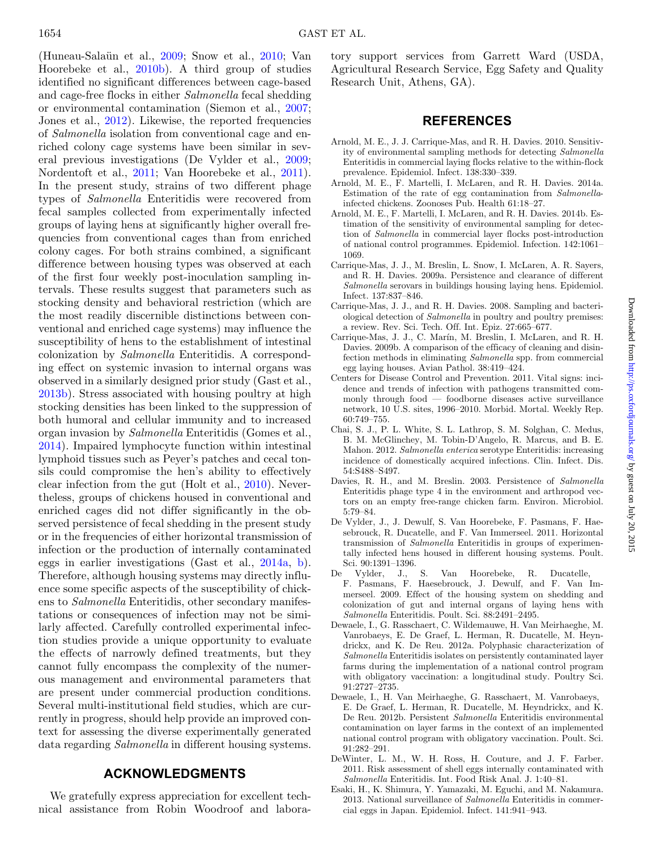(Huneau-Salaün et al., [2009;](#page-5-15) Snow et al., [2010;](#page-6-2) Van Hoorebeke et al., [2010b\)](#page-6-8). A third group of studies identified no significant differences between cage-based and cage-free flocks in either *Salmonella* fecal shedding or environmental contamination (Siemon et al., [2007;](#page-6-9) Jones et al., [2012\)](#page-5-32). Likewise, the reported frequencies of *Salmonella* isolation from conventional cage and enriched colony cage systems have been similar in several previous investigations (De Vylder et al., [2009;](#page-4-14) Nordentoft et al., [2011;](#page-5-33) Van Hoorebeke et al., [2011\)](#page-6-10). In the present study, strains of two different phage types of *Salmonella* Enteritidis were recovered from fecal samples collected from experimentally infected groups of laying hens at significantly higher overall frequencies from conventional cages than from enriched colony cages. For both strains combined, a significant difference between housing types was observed at each of the first four weekly post-inoculation sampling intervals. These results suggest that parameters such as stocking density and behavioral restriction (which are the most readily discernible distinctions between conventional and enriched cage systems) may influence the susceptibility of hens to the establishment of intestinal colonization by *Salmonella* Enteritidis. A corresponding effect on systemic invasion to internal organs was observed in a similarly designed prior study (Gast et al., [2013b\)](#page-5-25). Stress associated with housing poultry at high stocking densities has been linked to the suppression of both humoral and cellular immunity and to increased organ invasion by *Salmonella* Enteritidis (Gomes et al., [2014\)](#page-5-34). Impaired lymphocyte function within intestinal lymphoid tissues such as Peyer's patches and cecal tonsils could compromise the hen's ability to effectively clear infection from the gut (Holt et al., [2010\)](#page-5-35). Nevertheless, groups of chickens housed in conventional and enriched cages did not differ significantly in the observed persistence of fecal shedding in the present study or in the frequencies of either horizontal transmission of infection or the production of internally contaminated eggs in earlier investigations (Gast et al., [2014a,](#page-5-36) [b\)](#page-5-37). Therefore, although housing systems may directly influence some specific aspects of the susceptibility of chickens to *Salmonella* Enteritidis, other secondary manifestations or consequences of infection may not be similarly affected. Carefully controlled experimental infection studies provide a unique opportunity to evaluate the effects of narrowly defined treatments, but they cannot fully encompass the complexity of the numerous management and environmental parameters that are present under commercial production conditions. Several multi-institutional field studies, which are currently in progress, should help provide an improved context for assessing the diverse experimentally generated data regarding *Salmonella* in different housing systems.

## **ACKNOWLEDGMENTS**

We gratefully express appreciation for excellent technical assistance from Robin Woodroof and laboratory support services from Garrett Ward (USDA, Agricultural Research Service, Egg Safety and Quality Research Unit, Athens, GA).

## **REFERENCES**

- <span id="page-4-10"></span>Arnold, M. E., J. J. Carrique-Mas, and R. H. Davies. 2010. Sensitivity of environmental sampling methods for detecting *Salmonella* Enteritidis in commercial laying flocks relative to the within-flock prevalence. Epidemiol. Infect. 138:330–339.
- <span id="page-4-0"></span>Arnold, M. E., F. Martelli, I. McLaren, and R. H. Davies. 2014a. Estimation of the rate of egg contamination from *Salmonella*infected chickens. Zoonoses Pub. Health 61:18–27.
- <span id="page-4-8"></span>Arnold, M. E., F. Martelli, I. McLaren, and R. H. Davies. 2014b. Estimation of the sensitivity of environmental sampling for detection of *Salmonella* in commercial layer flocks post-introduction of national control programmes. Epidemiol. Infection. 142:1061– 1069.
- <span id="page-4-12"></span>Carrique-Mas, J. J., M. Breslin, L. Snow, I. McLaren, A. R. Sayers, and R. H. Davies. 2009a. Persistence and clearance of different *Salmonella* serovars in buildings housing laying hens. Epidemiol. Infect. 137:837–846.
- <span id="page-4-9"></span>Carrique-Mas, J. J., and R. H. Davies. 2008. Sampling and bacteriological detection of *Salmonella* in poultry and poultry premises: a review. Rev. Sci. Tech. Off. Int. Epiz. 27:665–677.
- <span id="page-4-7"></span>Carrique-Mas, J. J., C. Marín, M. Breslin, I. McLaren, and R. H. Davies. 2009b. A comparison of the efficacy of cleaning and disinfection methods in eliminating *Salmonella* spp. from commercial egg laying houses. Avian Pathol. 38:419–424.
- <span id="page-4-2"></span>Centers for Disease Control and Prevention. 2011. Vital signs: incidence and trends of infection with pathogens transmitted commonly through food — foodborne diseases active surveillance network, 10 U.S. sites, 1996–2010. Morbid. Mortal. Weekly Rep. 60:749–755.
- <span id="page-4-3"></span>Chai, S. J., P. L. White, S. L. Lathrop, S. M. Solghan, C. Medus, B. M. McGlinchey, M. Tobin-D'Angelo, R. Marcus, and B. E. Mahon. 2012. *Salmonella enterica* serotype Enteritidis: increasing incidence of domestically acquired infections. Clin. Infect. Dis. 54:S488–S497.
- <span id="page-4-4"></span>Davies, R. H., and M. Breslin. 2003. Persistence of *Salmonella* Enteritidis phage type 4 in the environment and arthropod vectors on an empty free-range chicken farm. Environ. Microbiol. 5:79–84.
- <span id="page-4-13"></span>De Vylder, J., J. Dewulf, S. Van Hoorebeke, F. Pasmans, F. Haesebrouck, R. Ducatelle, and F. Van Immerseel. 2011. Horizontal transmission of *Salmonella* Enteritidis in groups of experimentally infected hens housed in different housing systems. Poult. Sci. 90:1391-1396.<br>Vylder, J.,
- <span id="page-4-14"></span>De Vylder, J., S. Van Hoorebeke, R. Ducatelle, F. Pasmans, F. Haesebrouck, J. Dewulf, and F. Van Immerseel. 2009. Effect of the housing system on shedding and colonization of gut and internal organs of laying hens with *Salmonella* Enteritidis. Poult. Sci. 88:2491–2495.
- <span id="page-4-5"></span>Dewaele, I., G. Rasschaert, C. Wildemauwe, H. Van Meirhaeghe, M. Vanrobaeys, E. De Graef, L. Herman, R. Ducatelle, M. Heyndrickx, and K. De Reu. 2012a. Polyphasic characterization of *Salmonella* Enteritidis isolates on persistently contaminated layer farms during the implementation of a national control program with obligatory vaccination: a longitudinal study. Poultry Sci. 91:2727–2735.
- <span id="page-4-6"></span>Dewaele, I., H. Van Meirhaeghe, G. Rasschaert, M. Vanrobaeys, E. De Graef, L. Herman, R. Ducatelle, M. Heyndrickx, and K. De Reu. 2012b. Persistent *Salmonella* Enteritidis environmental contamination on layer farms in the context of an implemented national control program with obligatory vaccination. Poult. Sci. 91:282–291.
- <span id="page-4-11"></span>DeWinter, L. M., W. H. Ross, H. Couture, and J. F. Farber. 2011. Risk assessment of shell eggs internally contaminated with *Salmonella* Enteritidis. Int. Food Risk Anal. J. 1:40–81.
- <span id="page-4-1"></span>Esaki, H., K. Shimura, Y. Yamazaki, M. Eguchi, and M. Nakamura. 2013. National surveillance of *Salmonella* Enteritidis in commercial eggs in Japan. Epidemiol. Infect. 141:941–943.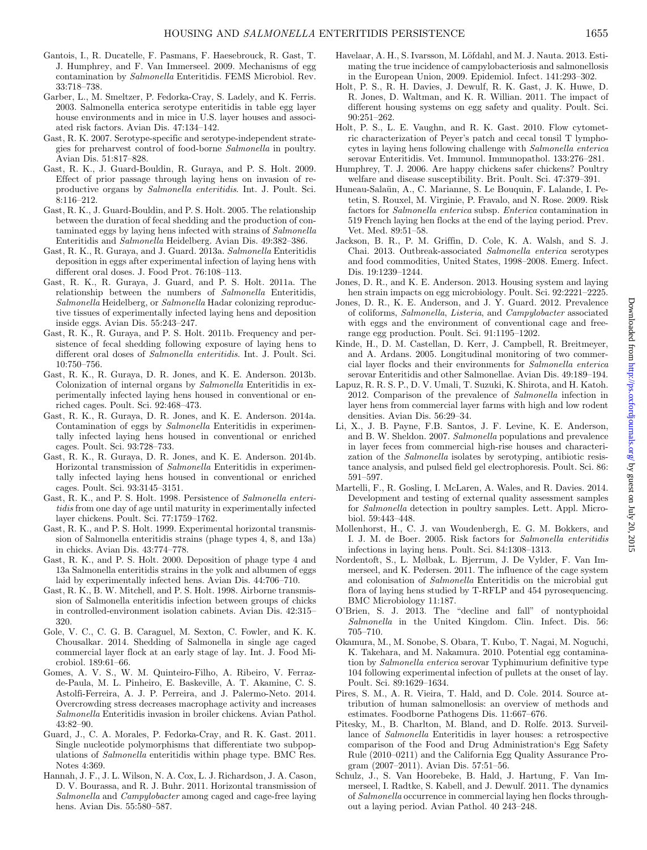- <span id="page-5-4"></span>Gantois, I., R. Ducatelle, F. Pasmans, F. Haesebrouck, R. Gast, T. J. Humphrey, and F. Van Immerseel. 2009. Mechanisms of egg contamination by *Salmonella* Enteritidis. FEMS Microbiol. Rev. 33:718–738.
- <span id="page-5-13"></span>Garber, L., M. Smeltzer, P. Fedorka-Cray, S. Ladely, and K. Ferris. 2003. Salmonella enterica serotype enteritidis in table egg layer house environments and in mice in U.S. layer houses and associated risk factors. Avian Dis. 47:134–142.
- <span id="page-5-6"></span>Gast, R. K. 2007. Serotype-specific and serotype-independent strategies for preharvest control of food-borne *Salmonella* in poultry. Avian Dis. 51:817–828.
- <span id="page-5-22"></span>Gast, R. K., J. Guard-Bouldin, R. Guraya, and P. S. Holt. 2009. Effect of prior passage through laying hens on invasion of reproductive organs by *Salmonella enteritidis*. Int. J. Poult. Sci. 8:116–212.
- <span id="page-5-21"></span>Gast, R. K., J. Guard-Bouldin, and P. S. Holt. 2005. The relationship between the duration of fecal shedding and the production of contaminated eggs by laying hens infected with strains of *Salmonella* Enteritidis and *Salmonella* Heidelberg. Avian Dis. 49:382–386.
- <span id="page-5-26"></span>Gast, R. K., R. Guraya, and J. Guard. 2013a. *Salmonella* Enteritidis deposition in eggs after experimental infection of laying hens with different oral doses. J. Food Prot. 76:108–113.
- <span id="page-5-5"></span>Gast, R. K., R. Guraya, J. Guard, and P. S. Holt. 2011a. The relationship between the numbers of *Salmonella* Enteritidis, *Salmonella* Heidelberg, or *Salmonella* Hadar colonizing reproductive tissues of experimentally infected laying hens and deposition inside eggs. Avian Dis. 55:243–247.
- <span id="page-5-10"></span>Gast, R. K., R. Guraya, and P. S. Holt. 2011b. Frequency and persistence of fecal shedding following exposure of laying hens to different oral doses of *Salmonella enteritidis*. Int. J. Poult. Sci. 10:750–756.
- <span id="page-5-25"></span>Gast, R. K., R. Guraya, D. R. Jones, and K. E. Anderson. 2013b. Colonization of internal organs by *Salmonella* Enteritidis in experimentally infected laying hens housed in conventional or enriched cages. Poult. Sci. 92:468–473.
- <span id="page-5-36"></span>Gast, R. K., R. Guraya, D. R. Jones, and K. E. Anderson. 2014a. Contamination of eggs by *Salmonella* Enteritidis in experimentally infected laying hens housed in conventional or enriched cages. Poult. Sci. 93:728–733.
- <span id="page-5-37"></span>Gast, R. K., R. Guraya, D. R. Jones, and K. E. Anderson. 2014b. Horizontal transmission of *Salmonella* Enteritidis in experimentally infected laying hens housed in conventional or enriched cages. Poult. Sci. 93:3145–3151.
- <span id="page-5-9"></span>Gast, R. K., and P. S. Holt. 1998. Persistence of *Salmonella enteritidis* from one day of age until maturity in experimentally infected layer chickens. Poult. Sci. 77:1759–1762.
- <span id="page-5-27"></span>Gast, R. K., and P. S. Holt. 1999. Experimental horizontal transmission of Salmonella enteritidis strains (phage types 4, 8, and 13a) in chicks. Avian Dis. 43:774–778.
- <span id="page-5-23"></span>Gast, R. K., and P. S. Holt. 2000. Deposition of phage type 4 and 13a Salmonella enteritidis strains in the yolk and albumen of eggs laid by experimentally infected hens. Avian Dis. 44:706–710.
- <span id="page-5-17"></span>Gast, R. K., B. W. Mitchell, and P. S. Holt. 1998. Airborne transmission of Salmonella enteritidis infection between groups of chicks in controlled-environment isolation cabinets. Avian Dis. 42:315– 320.
- <span id="page-5-8"></span>Gole, V. C., C. G. B. Caraguel, M. Sexton, C. Fowler, and K. K. Chousalkar. 2014. Shedding of Salmonella in single age caged commercial layer flock at an early stage of lay. Int. J. Food Microbiol. 189:61–66.
- <span id="page-5-34"></span>Gomes, A. V. S., W. M. Quinteiro-Filho, A. Ribeiro, V. Ferrazde-Paula, M. L. Pinheiro, E. Baskeville, A. T. Akamine, C. S. Astolfi-Ferreira, A. J. P. Perreira, and J. Palermo-Neto. 2014. Overcrowding stress decreases macrophage activity and increases *Salmonella* Enteritidis invasion in broiler chickens. Avian Pathol. 43:82–90.
- <span id="page-5-28"></span>Guard, J., C. A. Morales, P. Fedorka-Cray, and R. K. Gast. 2011. Single nucleotide polymorphisms that differentiate two subpopulations of *Salmonella* enteritidis within phage type. BMC Res. Notes 4:369.
- <span id="page-5-30"></span>Hannah, J. F., J. L. Wilson, N. A. Cox, L. J. Richardson, J. A. Cason, D. V. Bourassa, and R. J. Buhr. 2011. Horizontal transmission of *Salmonella* and *Campylobacter* among caged and cage-free laying hens. Avian Dis. 55:580–587.
- <span id="page-5-2"></span>Havelaar, A. H., S. Ivarsson, M. Löfdahl, and M. J. Nauta. 2013. Estimating the true incidence of campylobacteriosis and salmonellosis in the European Union, 2009. Epidemiol. Infect. 141:293–302.
- <span id="page-5-11"></span>Holt, P. S., R. H. Davies, J. Dewulf, R. K. Gast, J. K. Huwe, D. R. Jones, D. Waltman, and K. R. Willian. 2011. The impact of different housing systems on egg safety and quality. Poult. Sci. 90:251–262.
- <span id="page-5-35"></span>Holt, P. S., L. E. Vaughn, and R. K. Gast. 2010. Flow cytometric characterization of Peyer's patch and cecal tonsil T lymphocytes in laying hens following challenge with *Salmonella enterica* serovar Enteritidis. Vet. Immunol. Immunopathol. 133:276–281.
- <span id="page-5-18"></span>Humphrey, T. J. 2006. Are happy chickens safer chickens? Poultry welfare and disease susceptibility. Brit. Poult. Sci. 47:379–391.
- <span id="page-5-15"></span>Huneau-Salaün, A., C. Marianne, S. Le Bouquin, F. Lalande, I. Petetin, S. Rouxel, M. Virginie, P. Fravalo, and N. Rose. 2009. Risk factors for *Salmonella enterica* subsp. *Enterica* contamination in 519 French laying hen flocks at the end of the laying period. Prev. Vet. Med. 89:51–58.
- <span id="page-5-0"></span>Jackson, B. R., P. M. Griffin, D. Cole, K. A. Walsh, and S. J. Chai. 2013. Outbreak-associated *Salmonella enterica* serotypes and food commodities, United States, 1998–2008. Emerg. Infect. Dis. 19:1239–1244.
- <span id="page-5-29"></span>Jones, D. R., and K. E. Anderson. 2013. Housing system and laying hen strain impacts on egg microbiology. Poult. Sci. 92:2221–2225.
- <span id="page-5-32"></span>Jones, D. R., K. E. Anderson, and J. Y. Guard. 2012. Prevalence of coliforms, *Salmonella*, *Listeria*, and *Campylobacter* associated with eggs and the environment of conventional cage and freerange egg production. Poult. Sci. 91:1195–1202.
- <span id="page-5-14"></span>Kinde, H., D. M. Castellan, D. Kerr, J. Campbell, R. Breitmeyer, and A. Ardans. 2005. Longitudinal monitoring of two commercial layer flocks and their environments for *Salmonella enterica* serovar Enteritidis and other Salmonellae. Avian Dis. 49:189–194.
- <span id="page-5-12"></span>Lapuz, R. R. S. P., D. V. Umali, T. Suzuki, K. Shirota, and H. Katoh. 2012. Comparison of the prevalence of *Salmonella* infection in layer hens from commercial layer farms with high and low rodent densities. Avian Dis. 56:29–34.
- <span id="page-5-7"></span>Li, X., J. B. Payne, F.B. Santos, J. F. Levine, K. E. Anderson, and B. W. Sheldon. 2007. *Salmonella* populations and prevalence in layer feces from commercial high-rise houses and characterization of the *Salmonella* isolates by serotyping, antibiotic resistance analysis, and pulsed field gel electrophoresis. Poult. Sci. 86: 591–597.
- <span id="page-5-20"></span>Martelli, F., R. Gosling, I. McLaren, A. Wales, and R. Davies. 2014. Development and testing of external quality assessment samples for *Salmonella* detection in poultry samples. Lett. Appl. Microbiol. 59:443–448.
- <span id="page-5-31"></span>Mollenhorst, H., C. J. van Woudenbergh, E. G. M. Bokkers, and I. J. M. de Boer. 2005. Risk factors for *Salmonella enteritidis* infections in laying hens. Poult. Sci. 84:1308–1313.
- <span id="page-5-33"></span>Nordentoft, S., L. Mølbak, L. Bjerrum, J. De Vylder, F. Van Immerseel, and K. Pedersen. 2011. The influence of the cage system and colonisation of *Salmonella* Enteritidis on the microbial gut flora of laying hens studied by T-RFLP and 454 pyrosequencing. BMC Microbiology 11:187.
- <span id="page-5-3"></span>O'Brien, S. J. 2013. The "decline and fall" of nontyphoidal *Salmonella* in the United Kingdom. Clin. Infect. Dis. 56: 705–710.
- <span id="page-5-19"></span>Okamura, M., M. Sonobe, S. Obara, T. Kubo, T. Nagai, M. Noguchi, K. Takehara, and M. Nakamura. 2010. Potential egg contamination by *Salmonella enterica* serovar Typhimurium definitive type 104 following experimental infection of pullets at the onset of lay. Poult. Sci. 89:1629–1634.
- <span id="page-5-1"></span>Pires, S. M., A. R. Vieira, T. Hald, and D. Cole. 2014. Source attribution of human salmonellosis: an overview of methods and estimates. Foodborne Pathogens Dis. 11:667–676.
- <span id="page-5-16"></span>Pitesky, M., B. Charlton, M. Bland, and D. Rolfe. 2013. Surveillance of *Salmonella* Enteritidis in layer houses: a retrospective comparison of the Food and Drug Administration's Egg Safety Rule (2010–0211) and the California Egg Quality Assurance Program (2007–2011). Avian Dis. 57:51–56.
- <span id="page-5-24"></span>Schulz, J., S. Van Hoorebeke, B. Hald, J. Hartung, F. Van Immerseel, I. Radtke, S. Kabell, and J. Dewulf. 2011. The dynamics of *Salmonella* occurrence in commercial laying hen flocks throughout a laying period. Avian Pathol. 40 243–248.